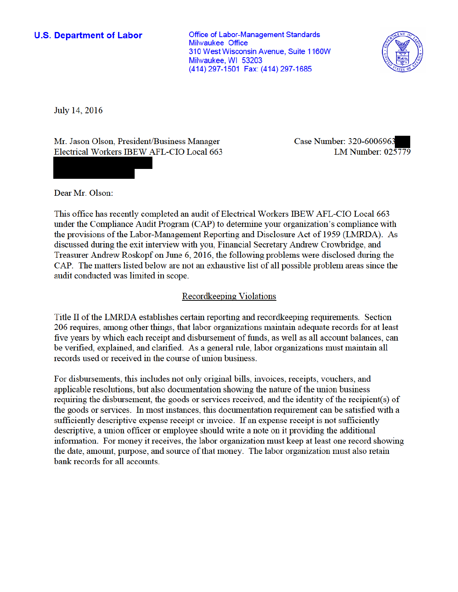## **U.S. Department of Labor**

**Office of Labor-Management Standards Milwaukee Office** 310 West Wisconsin Avenue, Suite 1160W Milwaukee, WI 53203 (414) 297-1501 Fax: (414) 297-1685



July 14, 2016

Mr. Jason Olson, President/Business Manager Electrical Workers IBEW AFL-CIO Local 663 Case Number: 320-6006963 LM Number: 025779

Dear Mr. Olson:

This office has recently completed an audit of Electrical Workers IBEW AFL-CIO Local 663 under the Compliance Audit Program (CAP) to determine your organization's compliance with the provisions of the Labor-Management Reporting and Disclosure Act of 1959 (LMRDA). As discussed during the exit interview with you, Financial Secretary Andrew Crowbridge, and Treasurer Andrew Roskopf on June 6, 2016, the following problems were disclosed during the CAP. The matters listed below are not an exhaustive list of all possible problem areas since the audit conducted was limited in scope.

### Recordkeeping Violations

Title II of the LMRDA establishes certain reporting and record keeping requirements. Section 206 requires, among other things, that labor organizations maintain adequate records for at least five years by which each receipt and disbursement of funds, as well as all account balances, can be verified, explained, and clarified. As a general rule, labor organizations must maintain all records used or received in the course of union business.

For disbursements, this includes not only original bills, invoices, receipts, vouchers, and applicable resolutions, but also documentation showing the nature of the union business requiring the disbursement, the goods or services received, and the identity of the recipient(s) of the goods or services. In most instances, this documentation requirement can be satisfied with a sufficiently descriptive expense receipt or invoice. If an expense receipt is not sufficiently descriptive, a union officer or employee should write a note on it providing the additional information. For money it receives, the labor organization must keep at least one record showing the date, amount, purpose, and source of that money. The labor organization must also retain bank records for all accounts.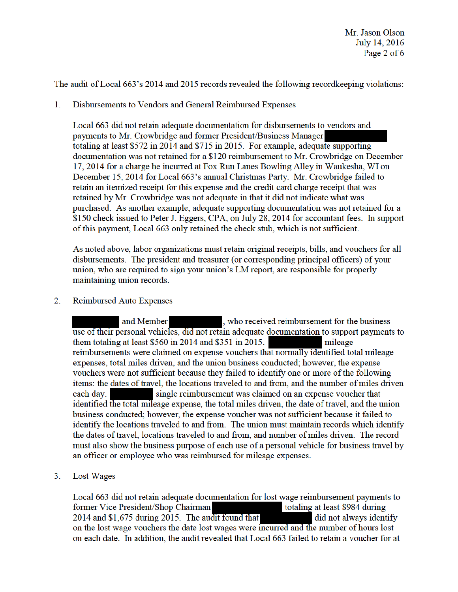The audit of Local 663's 2014 and 2015 records revealed the following record keeping violations:

 $\mathbf{1}$ . Disbursements to Vendors and General Reimbursed Expenses

Local 663 did not retain adequate documentation for disbursements to vendors and payments to Mr. Crowbridge and former President/Business Manager totaling at least \$572 in 2014 and \$715 in 2015. For example, adequate supporting documentation was not retained for a \$120 reimbursement to Mr. Crowbridge on December 17, 2014 for a charge he incurred at Fox Run Lanes Bowling Alley in Waukesha, WI on December 15, 2014 for Local 663's annual Christmas Party. Mr. Crowbridge failed to retain an itemized receipt for this expense and the credit card charge receipt that was retained by Mr. Crowbridge was not adequate in that it did not indicate what was purchased. As another example, adequate supporting documentation was not retained for a \$150 check issued to Peter J. Eggers, CPA, on July 28, 2014 for accountant fees. In support of this payment, Local 663 only retained the check stub, which is not sufficient.

As noted above, labor organizations must retain original receipts, bills, and vouchers for all disbursements. The president and treasurer (or corresponding principal officers) of your union, who are required to sign your union's LM report, are responsible for properly maintaining union records.

 $2.$ **Reimbursed Auto Expenses** 

> and Member , who received reimbursement for the business use of their personal vehicles, did not retain adequate documentation to support payments to them totaling at least \$560 in 2014 and \$351 in 2015. mileage reimbursements were claimed on expense vouchers that normally identified total mileage expenses, total miles driven, and the union business conducted; however, the expense vouchers were not sufficient because they failed to identify one or more of the following items: the dates of travel, the locations traveled to and from, and the number of miles driven single reimbursement was claimed on an expense voucher that each day. identified the total mileage expense, the total miles driven, the date of travel, and the union business conducted; however, the expense voucher was not sufficient because it failed to identify the locations traveled to and from. The union must maintain records which identify the dates of travel, locations traveled to and from, and number of miles driven. The record must also show the business purpose of each use of a personal vehicle for business travel by an officer or employee who was reimbursed for mileage expenses.

Lost Wages  $3<sub>1</sub>$ 

> Local 663 did not retain adequate documentation for lost wage reimbursement payments to former Vice President/Shop Chairman totaling at least \$984 during 2014 and \$1,675 during 2015. The audit found that did not always identify on the lost wage vouchers the date lost wages were incurred and the number of hours lost on each date. In addition, the audit revealed that Local 663 failed to retain a voucher for at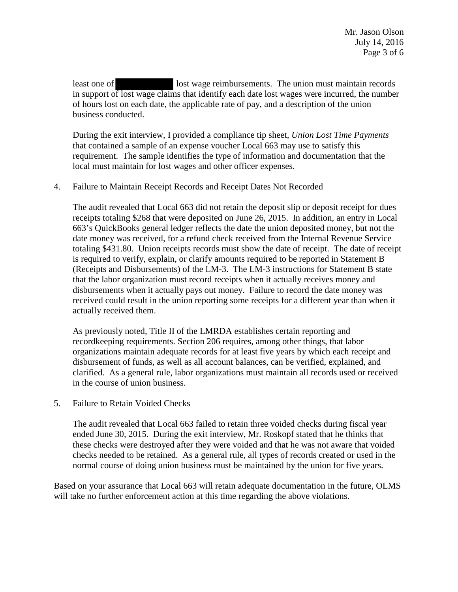least one of lost wage reimbursements. The union must maintain records in support of lost wage claims that identify each date lost wages were incurred, the number of hours lost on each date, the applicable rate of pay, and a description of the union business conducted.

During the exit interview, I provided a compliance tip sheet, *Union Lost Time Payments* that contained a sample of an expense voucher Local 663 may use to satisfy this requirement. The sample identifies the type of information and documentation that the local must maintain for lost wages and other officer expenses.

## 4. Failure to Maintain Receipt Records and Receipt Dates Not Recorded

The audit revealed that Local 663 did not retain the deposit slip or deposit receipt for dues receipts totaling \$268 that were deposited on June 26, 2015. In addition, an entry in Local 663's QuickBooks general ledger reflects the date the union deposited money, but not the date money was received, for a refund check received from the Internal Revenue Service totaling \$431.80. Union receipts records must show the date of receipt. The date of receipt is required to verify, explain, or clarify amounts required to be reported in Statement B (Receipts and Disbursements) of the LM-3. The LM-3 instructions for Statement B state that the labor organization must record receipts when it actually receives money and disbursements when it actually pays out money. Failure to record the date money was received could result in the union reporting some receipts for a different year than when it actually received them.

As previously noted, Title II of the LMRDA establishes certain reporting and recordkeeping requirements. Section 206 requires, among other things, that labor organizations maintain adequate records for at least five years by which each receipt and disbursement of funds, as well as all account balances, can be verified, explained, and clarified. As a general rule, labor organizations must maintain all records used or received in the course of union business.

5. Failure to Retain Voided Checks

The audit revealed that Local 663 failed to retain three voided checks during fiscal year ended June 30, 2015. During the exit interview, Mr. Roskopf stated that he thinks that these checks were destroyed after they were voided and that he was not aware that voided checks needed to be retained. As a general rule, all types of records created or used in the normal course of doing union business must be maintained by the union for five years.

Based on your assurance that Local 663 will retain adequate documentation in the future, OLMS will take no further enforcement action at this time regarding the above violations.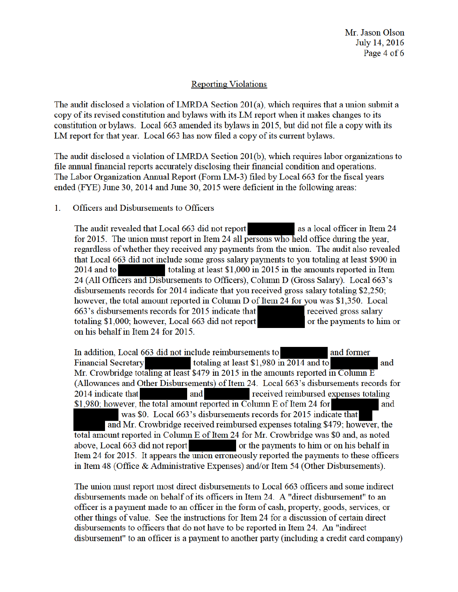# **Reporting Violations**

The audit disclosed a violation of LMRDA Section 201(a), which requires that a union submit a copy of its revised constitution and bylaws with its LM report when it makes changes to its constitution or bylaws. Local 663 amended its bylaws in 2015, but did not file a copy with its LM report for that year. Local 663 has now filed a copy of its current bylaws.

The audit disclosed a violation of LMRDA Section 201(b), which requires labor organizations to file annual financial reports accurately disclosing their financial condition and operations. The Labor Organization Annual Report (Form LM-3) filed by Local 663 for the fiscal years ended (FYE) June 30, 2014 and June 30, 2015 were deficient in the following areas:

#### $\mathbf{1}$ Officers and Disbursements to Officers

as a local officer in Item 24 The audit revealed that Local 663 did not report for 2015. The union must report in Item 24 all persons who held office during the year, regardless of whether they received any payments from the union. The audit also revealed that Local 663 did not include some gross salary payments to you totaling at least \$900 in  $2014$  and to totaling at least \$1,000 in 2015 in the amounts reported in Item 24 (All Officers and Disbursements to Officers), Column D (Gross Salary). Local 663's disbursements records for 2014 indicate that you received gross salary totaling \$2,250; however, the total amount reported in Column D of Item 24 for you was \$1,350. Local 663's disbursements records for 2015 indicate that received gross salary or the payments to him or totaling \$1,000; however, Local 663 did not report on his behalf in Item 24 for 2015.

In addition, Local 663 did not include reimbursements to and former Financial Secretary totaling at least \$1,980 in 2014 and to and Mr. Crowbridge totaling at least \$479 in 2015 in the amounts reported in Column E (Allowances and Other Disbursements) of Item 24. Local 663's disbursements records for 2014 indicate that and received reimbursed expenses totaling \$1,980; however, the total amount reported in Column E of Item 24 for and was \$0. Local 663's disbursements records for 2015 indicate that and Mr. Crowbridge received reimbursed expenses totaling \$479; however, the

total amount reported in Column E of Item 24 for Mr. Crowbridge was \$0 and, as noted above, Local 663 did not report or the payments to him or on his behalf in Item 24 for 2015. It appears the union erroneously reported the payments to these officers in Item 48 (Office & Administrative Expenses) and/or Item 54 (Other Disbursements).

The union must report most direct disbursements to Local 663 officers and some indirect disbursements made on behalf of its officers in Item 24. A "direct disbursement" to an officer is a payment made to an officer in the form of cash, property, goods, services, or other things of value. See the instructions for Item 24 for a discussion of certain direct disbursements to officers that do not have to be reported in Item 24. An "indirect disbursement" to an officer is a payment to another party (including a credit card company)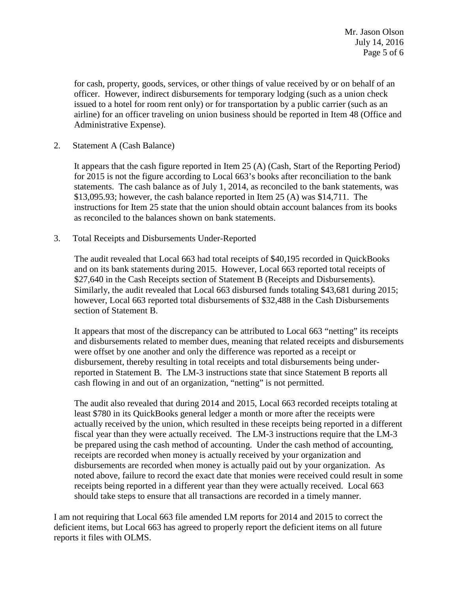for cash, property, goods, services, or other things of value received by or on behalf of an officer. However, indirect disbursements for temporary lodging (such as a union check issued to a hotel for room rent only) or for transportation by a public carrier (such as an airline) for an officer traveling on union business should be reported in Item 48 (Office and Administrative Expense).

2. Statement A (Cash Balance)

It appears that the cash figure reported in Item 25 (A) (Cash, Start of the Reporting Period) for 2015 is not the figure according to Local 663's books after reconciliation to the bank statements. The cash balance as of July 1, 2014, as reconciled to the bank statements, was \$13,095.93; however, the cash balance reported in Item 25 (A) was \$14,711. The instructions for Item 25 state that the union should obtain account balances from its books as reconciled to the balances shown on bank statements.

3. Total Receipts and Disbursements Under-Reported

The audit revealed that Local 663 had total receipts of \$40,195 recorded in QuickBooks and on its bank statements during 2015. However, Local 663 reported total receipts of \$27,640 in the Cash Receipts section of Statement B (Receipts and Disbursements). Similarly, the audit revealed that Local 663 disbursed funds totaling \$43,681 during 2015; however, Local 663 reported total disbursements of \$32,488 in the Cash Disbursements section of Statement B.

It appears that most of the discrepancy can be attributed to Local 663 "netting" its receipts and disbursements related to member dues, meaning that related receipts and disbursements were offset by one another and only the difference was reported as a receipt or disbursement, thereby resulting in total receipts and total disbursements being underreported in Statement B. The LM-3 instructions state that since Statement B reports all cash flowing in and out of an organization, "netting" is not permitted.

The audit also revealed that during 2014 and 2015, Local 663 recorded receipts totaling at least \$780 in its QuickBooks general ledger a month or more after the receipts were actually received by the union, which resulted in these receipts being reported in a different fiscal year than they were actually received. The LM-3 instructions require that the LM-3 be prepared using the cash method of accounting. Under the cash method of accounting, receipts are recorded when money is actually received by your organization and disbursements are recorded when money is actually paid out by your organization. As noted above, failure to record the exact date that monies were received could result in some receipts being reported in a different year than they were actually received. Local 663 should take steps to ensure that all transactions are recorded in a timely manner.

I am not requiring that Local 663 file amended LM reports for 2014 and 2015 to correct the deficient items, but Local 663 has agreed to properly report the deficient items on all future reports it files with OLMS.